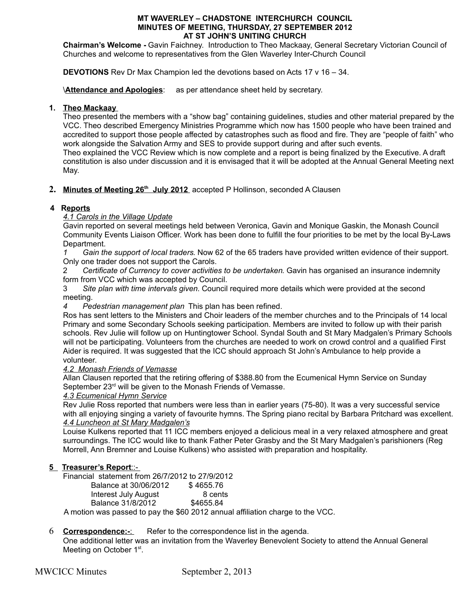#### **MT WAVERLEY – CHADSTONE INTERCHURCH COUNCIL MINUTES OF MEETING, THURSDAY, 27 SEPTEMBER 2012 AT ST JOHN'S UNITING CHURCH**

**Chairman's Welcome -** Gavin Faichney. Introduction to Theo Mackaay, General Secretary Victorian Council of Churches and welcome to representatives from the Glen Waverley Inter-Church Council

**DEVOTIONS** Rev Dr Max Champion led the devotions based on Acts 17 v 16 – 34.

**\Attendance and Apologies**: as per attendance sheet held by secretary.

#### **1. Theo Mackaay**

Theo presented the members with a "show bag" containing guidelines, studies and other material prepared by the VCC. Theo described Emergency Ministries Programme which now has 1500 people who have been trained and accredited to support those people affected by catastrophes such as flood and fire. They are "people of faith" who work alongside the Salvation Army and SES to provide support during and after such events.

Theo explained the VCC Review which is now complete and a report is being finalized by the Executive. A draft constitution is also under discussion and it is envisaged that it will be adopted at the Annual General Meeting next May.

#### **2. Minutes of Meeting 26th July 2012** accepted P Hollinson, seconded A Clausen

## **4 Reports**

#### *4.1 Carols in the Village Update*

Gavin reported on several meetings held between Veronica, Gavin and Monique Gaskin, the Monash Council Community Events Liaison Officer. Work has been done to fulfill the four priorities to be met by the local By-Laws Department.

*1 Gain the support of local traders*. Now 62 of the 65 traders have provided written evidence of their support. Only one trader does not support the Carols.

2 *Certificate of Currency to cover activities to be undertaken*. Gavin has organised an insurance indemnity form from VCC which was accepted by Council.

3 *Site plan with time intervals given*. Council required more details which were provided at the second meeting.

*4 Pedestrian management plan* This plan has been refined.

Ros has sent letters to the Ministers and Choir leaders of the member churches and to the Principals of 14 local Primary and some Secondary Schools seeking participation. Members are invited to follow up with their parish schools. Rev Julie will follow up on Huntingtower School. Syndal South and St Mary Madgalen's Primary Schools will not be participating. Volunteers from the churches are needed to work on crowd control and a qualified First Aider is required. It was suggested that the ICC should approach St John's Ambulance to help provide a volunteer.

#### *4.2 Monash Friends of Vemasse*

Allan Clausen reported that the retiring offering of \$388.80 from the Ecumenical Hymn Service on Sunday September 23<sup>rd</sup> will be given to the Monash Friends of Vemasse.

#### *4.3 Ecumenical Hymn Service*

Rev Julie Ross reported that numbers were less than in earlier years (75-80). It was a very successful service with all enjoying singing a variety of favourite hymns. The Spring piano recital by Barbara Pritchard was excellent. *4.4 Luncheon at St Mary Madgalen's*

Louise Kulkens reported that 11 ICC members enjoyed a delicious meal in a very relaxed atmosphere and great surroundings. The ICC would like to thank Father Peter Grasby and the St Mary Madgalen's parishioners (Reg Morrell, Ann Bremner and Louise Kulkens) who assisted with preparation and hospitality.

## **5** Treasurer's Report::-

Financial statement from 26/7/2012 to 27/9/2012

| Balance at 30/06/2012 | \$4655.76 |
|-----------------------|-----------|
| Interest July August  | 8 cents   |
| Balance 31/8/2012     | \$4655.84 |
|                       |           |

A motion was passed to pay the \$60 2012 annual affiliation charge to the VCC.

# 6 **Correspondence:-:** Refer to the correspondence list in the agenda.

One additional letter was an invitation from the Waverley Benevolent Society to attend the Annual General Meeting on October 1<sup>st</sup>.